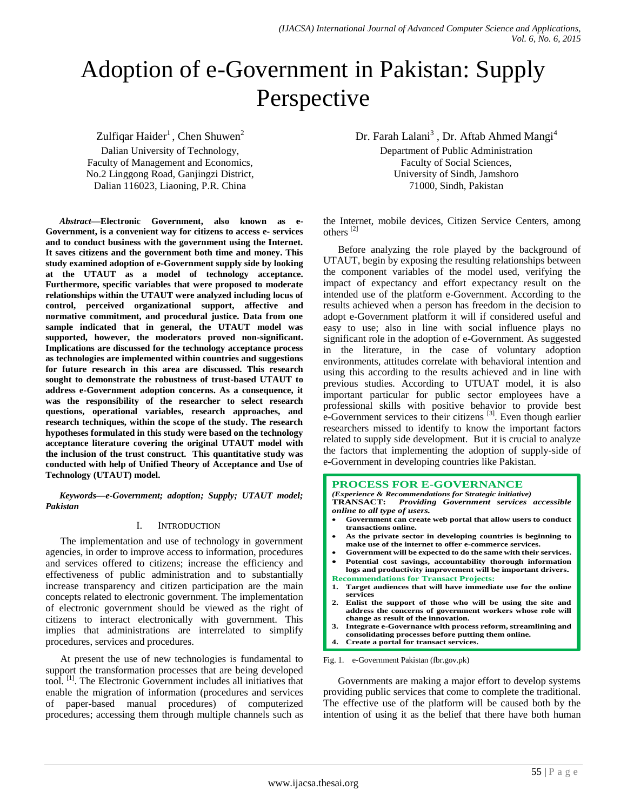# Adoption of e-Government in Pakistan: Supply Perspective

 $Z$ ulfiqar Haider<sup>1</sup>, Chen Shuwen<sup>2</sup>

Dalian University of Technology, Faculty of Management and Economics, No.2 Linggong Road, Ganjingzi District, Dalian 116023, Liaoning, P.R. China

*Abstract***—Electronic Government, also known as e-Government, is a convenient way for citizens to access e- services and to conduct business with the government using the Internet. It saves citizens and the government both time and money. This study examined adoption of e-Government supply side by looking at the UTAUT as a model of technology acceptance. Furthermore, specific variables that were proposed to moderate relationships within the UTAUT were analyzed including locus of control, perceived organizational support, affective and normative commitment, and procedural justice. Data from one sample indicated that in general, the UTAUT model was supported, however, the moderators proved non-significant. Implications are discussed for the technology acceptance process as technologies are implemented within countries and suggestions for future research in this area are discussed. This research sought to demonstrate the robustness of trust-based UTAUT to address e-Government adoption concerns. As a consequence, it was the responsibility of the researcher to select research questions, operational variables, research approaches, and research techniques, within the scope of the study. The research hypotheses formulated in this study were based on the technology acceptance literature covering the original UTAUT model with the inclusion of the trust construct. This quantitative study was conducted with help of Unified Theory of Acceptance and Use of Technology (UTAUT) model.**

*Keywords—e-Government; adoption; Supply; UTAUT model; Pakistan*

## I. INTRODUCTION

The implementation and use of technology in government agencies, in order to improve access to information, procedures and services offered to citizens; increase the efficiency and effectiveness of public administration and to substantially increase transparency and citizen participation are the main concepts related to electronic government. The implementation of electronic government should be viewed as the right of citizens to interact electronically with government. This implies that administrations are interrelated to simplify procedures, services and procedures.

At present the use of new technologies is fundamental to support the transformation processes that are being developed tool.<sup>[1]</sup>. The Electronic Government includes all initiatives that enable the migration of information (procedures and services of paper-based manual procedures) of computerized procedures; accessing them through multiple channels such as

Dr. Farah Lalani<sup>3</sup>, Dr. Aftab Ahmed Mangi<sup>4</sup> Department of Public Administration Faculty of Social Sciences, University of Sindh, Jamshoro 71000, Sindh, Pakistan

the Internet, mobile devices, Citizen Service Centers, among others [2]

Before analyzing the role played by the background of UTAUT, begin by exposing the resulting relationships between the component variables of the model used, verifying the impact of expectancy and effort expectancy result on the intended use of the platform e-Government. According to the results achieved when a person has freedom in the decision to adopt e-Government platform it will if considered useful and easy to use; also in line with social influence plays no significant role in the adoption of e-Government. As suggested in the literature, in the case of voluntary adoption environments, attitudes correlate with behavioral intention and using this according to the results achieved and in line with previous studies. According to UTUAT model, it is also important particular for public sector employees have a professional skills with positive behavior to provide best e-Government services to their citizens<sup>[3]</sup>. Even though earlier researchers missed to identify to know the important factors related to supply side development. But it is crucial to analyze the factors that implementing the adoption of supply-side of e-Government in developing countries like Pakistan.

#### **PROCESS FOR E-GOVERNANCE**

*(Experience & Recommendations for Strategic initiative)* **TRANSACT:** *Providing Government services accessible online to all type of users.*

- **Government can create web portal that allow users to conduct transactions online.**
- **As the private sector in developing countries is beginning to make use of the internet to offer e-commerce services.**
- **Government will be expected to do the same with their services. Potential cost savings, accountability thorough information logs and productivity improvement will be important drivers.**
- **Recommendations for Transact Projects:**
- **1. Target audiences that will have immediate use for the online services**
- **2. Enlist the support of those who will be using the site and address the concerns of government workers whose role will change as result of the innovation.**
- **3. Integrate e-Governance with process reform, streamlining and consolidating processes before putting them online.**
- **4. Create a portal for transact services.**

Fig. 1. e-Government Pakistan (fbr.gov.pk)

Governments are making a major effort to develop systems providing public services that come to complete the traditional. The effective use of the platform will be caused both by the intention of using it as the belief that there have both human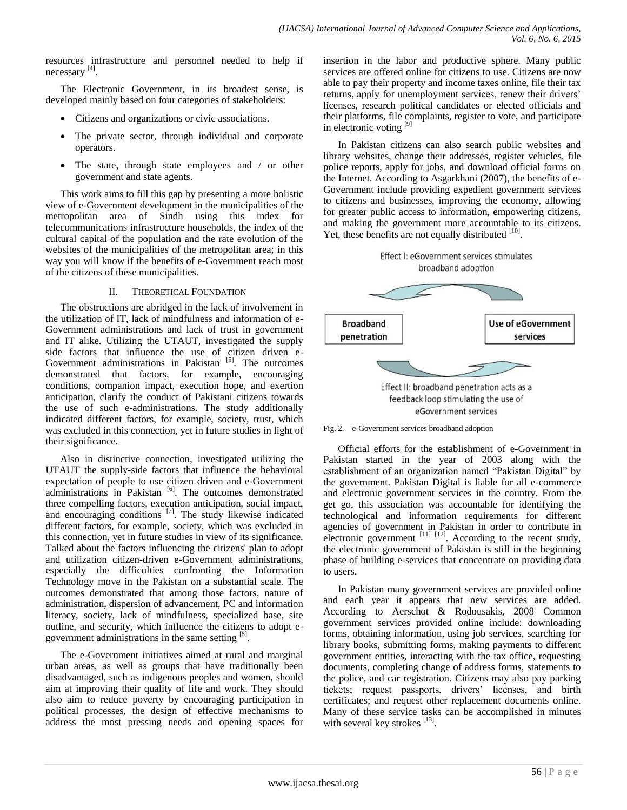resources infrastructure and personnel needed to help if necessary<sup>[4]</sup>.

The Electronic Government, in its broadest sense, is developed mainly based on four categories of stakeholders:

- Citizens and organizations or civic associations.
- The private sector, through individual and corporate operators.
- The state, through state employees and / or other government and state agents.

This work aims to fill this gap by presenting a more holistic view of e-Government development in the municipalities of the metropolitan area of Sindh using this index for telecommunications infrastructure households, the index of the cultural capital of the population and the rate evolution of the websites of the municipalities of the metropolitan area; in this way you will know if the benefits of e-Government reach most of the citizens of these municipalities.

# II. THEORETICAL FOUNDATION

The obstructions are abridged in the lack of involvement in the utilization of IT, lack of mindfulness and information of e-Government administrations and lack of trust in government and IT alike. Utilizing the UTAUT, investigated the supply side factors that influence the use of citizen driven e-Government administrations in Pakistan  $[5]$ . The outcomes demonstrated that factors, for example, encouraging conditions, companion impact, execution hope, and exertion anticipation, clarify the conduct of Pakistani citizens towards the use of such e-administrations. The study additionally indicated different factors, for example, society, trust, which was excluded in this connection, yet in future studies in light of their significance.

Also in distinctive connection, investigated utilizing the UTAUT the supply-side factors that influence the behavioral expectation of people to use citizen driven and e-Government administrations in Pakistan<sup>[6]</sup>. The outcomes demonstrated three compelling factors, execution anticipation, social impact, and encouraging conditions <sup>[7]</sup>. The study likewise indicated different factors, for example, society, which was excluded in this connection, yet in future studies in view of its significance. Talked about the factors influencing the citizens' plan to adopt and utilization citizen-driven e-Government administrations, especially the difficulties confronting the Information Technology move in the Pakistan on a substantial scale. The outcomes demonstrated that among those factors, nature of administration, dispersion of advancement, PC and information literacy, society, lack of mindfulness, specialized base, site outline, and security, which influence the citizens to adopt egovernment administrations in the same setting [8].

The e-Government initiatives aimed at rural and marginal urban areas, as well as groups that have traditionally been disadvantaged, such as indigenous peoples and women, should aim at improving their quality of life and work. They should also aim to reduce poverty by encouraging participation in political processes, the design of effective mechanisms to address the most pressing needs and opening spaces for insertion in the labor and productive sphere. Many public services are offered online for citizens to use. Citizens are now able to pay their property and income taxes online, file their tax returns, apply for unemployment services, renew their drivers' licenses, research political candidates or elected officials and their platforms, file complaints, register to vote, and participate in electronic voting [9]

In Pakistan citizens can also search public websites and library websites, change their addresses, register vehicles, file police reports, apply for jobs, and download official forms on the Internet. According to Asgarkhani (2007), the benefits of e-Government include providing expedient government services to citizens and businesses, improving the economy, allowing for greater public access to information, empowering citizens, and making the government more accountable to its citizens. Yet, these benefits are not equally distributed [10].





Official efforts for the establishment of e-Government in Pakistan started in the year of 2003 along with the establishment of an organization named "Pakistan Digital" by the government. Pakistan Digital is liable for all e-commerce and electronic government services in the country. From the get go, this association was accountable for identifying the technological and information requirements for different agencies of government in Pakistan in order to contribute in electronic government  $^{[11]}$   $^{[12]}$ . According to the recent study, the electronic government of Pakistan is still in the beginning phase of building e-services that concentrate on providing data to users.

In Pakistan many government services are provided online and each year it appears that new services are added. According to Aerschot & Rodousakis, 2008 Common government services provided online include: downloading forms, obtaining information, using job services, searching for library books, submitting forms, making payments to different government entities, interacting with the tax office, requesting documents, completing change of address forms, statements to the police, and car registration. Citizens may also pay parking tickets; request passports, drivers' licenses, and birth certificates; and request other replacement documents online. Many of these service tasks can be accomplished in minutes with several key strokes [13].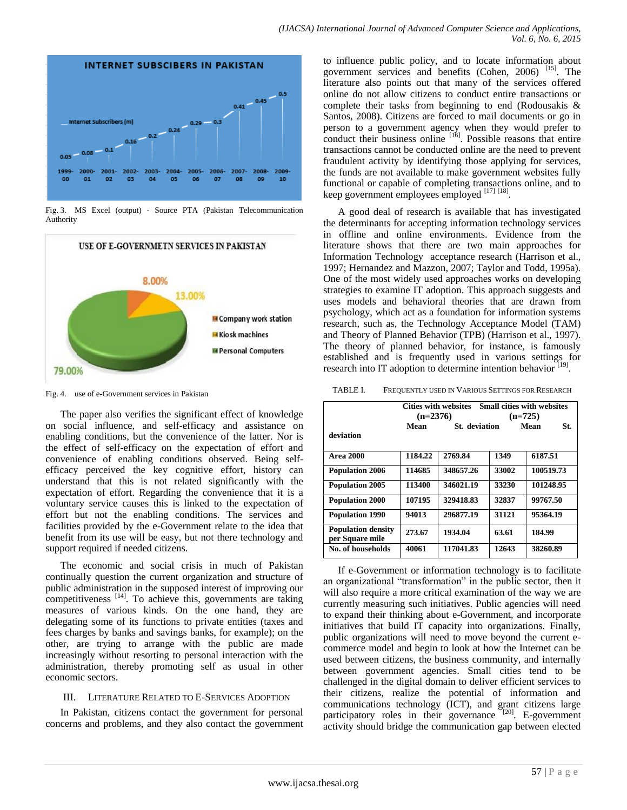



Fig. 3. MS Excel (output) - Source PTA (Pakistan Telecommunication Authority



Fig. 4. use of e-Government services in Pakistan

The paper also verifies the significant effect of knowledge on social influence, and self-efficacy and assistance on enabling conditions, but the convenience of the latter. Nor is the effect of self-efficacy on the expectation of effort and convenience of enabling conditions observed. Being selfefficacy perceived the key cognitive effort, history can understand that this is not related significantly with the expectation of effort. Regarding the convenience that it is a voluntary service causes this is linked to the expectation of effort but not the enabling conditions. The services and facilities provided by the e-Government relate to the idea that benefit from its use will be easy, but not there technology and support required if needed citizens.

The economic and social crisis in much of Pakistan continually question the current organization and structure of public administration in the supposed interest of improving our competitiveness  $^{[14]}$ . To achieve this, governments are taking measures of various kinds. On the one hand, they are delegating some of its functions to private entities (taxes and fees charges by banks and savings banks, for example); on the other, are trying to arrange with the public are made increasingly without resorting to personal interaction with the administration, thereby promoting self as usual in other economic sectors.

## III. LITERATURE RELATED TO E-SERVICES ADOPTION

In Pakistan, citizens contact the government for personal concerns and problems, and they also contact the government to influence public policy, and to locate information about government services and benefits (Cohen, 2006) <sup>[15]</sup>. The literature also points out that many of the services offered online do not allow citizens to conduct entire transactions or complete their tasks from beginning to end (Rodousakis & Santos, 2008). Citizens are forced to mail documents or go in person to a government agency when they would prefer to conduct their business online  $[16]$ . Possible reasons that entire transactions cannot be conducted online are the need to prevent fraudulent activity by identifying those applying for services, the funds are not available to make government websites fully functional or capable of completing transactions online, and to keep government employees employed  $^{[17]}$   $^{[18]}$ .

A good deal of research is available that has investigated the determinants for accepting information technology services in offline and online environments. Evidence from the literature shows that there are two main approaches for Information Technology acceptance research (Harrison et al., 1997; Hernandez and Mazzon, 2007; Taylor and Todd, 1995a). One of the most widely used approaches works on developing strategies to examine IT adoption. This approach suggests and uses models and behavioral theories that are drawn from psychology, which act as a foundation for information systems research, such as, the Technology Acceptance Model (TAM) and Theory of Planned Behavior (TPB) (Harrison et al., 1997). The theory of planned behavior, for instance, is famously established and is frequently used in various settings for research into IT adoption to determine intention behavior<sup>[19]</sup>.

TABLE I. FREQUENTLY USED IN VARIOUS SETTINGS FOR RESEARCH

|                                              | <b>Small cities with websites</b><br>Cities with websites<br>$(n=2376)$<br>$(n=725)$ |           |       |             |
|----------------------------------------------|--------------------------------------------------------------------------------------|-----------|-------|-------------|
| deviation                                    | Mean<br><b>St.</b> deviation                                                         |           |       | Mean<br>St. |
| <b>Area 2000</b>                             | 1184.22                                                                              | 2769.84   | 1349  | 6187.51     |
| <b>Population 2006</b>                       | 114685                                                                               | 348657.26 | 33002 | 100519.73   |
| <b>Population 2005</b>                       | 113400                                                                               | 346021.19 | 33230 | 101248.95   |
| <b>Population 2000</b>                       | 107195                                                                               | 329418.83 | 32837 | 99767.50    |
| <b>Population 1990</b>                       | 94013                                                                                | 296877.19 | 31121 | 95364.19    |
| <b>Population density</b><br>per Square mile | 273.67                                                                               | 1934.04   | 63.61 | 184.99      |
| No. of households                            | 40061                                                                                | 117041.83 | 12643 | 38260.89    |

If e-Government or information technology is to facilitate an organizational "transformation" in the public sector, then it will also require a more critical examination of the way we are currently measuring such initiatives. Public agencies will need to expand their thinking about e-Government, and incorporate initiatives that build IT capacity into organizations. Finally, public organizations will need to move beyond the current ecommerce model and begin to look at how the Internet can be used between citizens, the business community, and internally between government agencies. Small cities tend to be challenged in the digital domain to deliver efficient services to their citizens, realize the potential of information and communications technology (ICT), and grant citizens large participatory roles in their governance  $20$ . E-government activity should bridge the communication gap between elected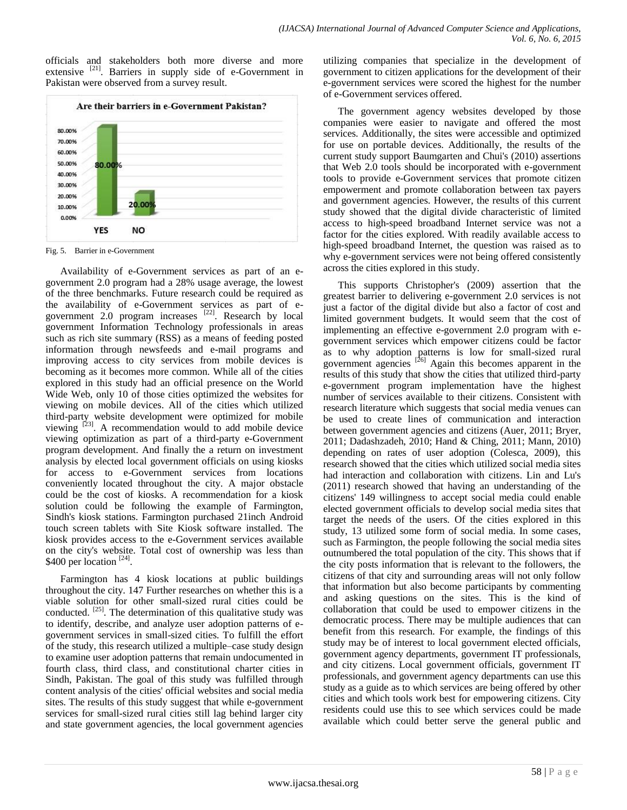officials and stakeholders both more diverse and more extensive <sup>[21]</sup>. Barriers in supply side of e-Government in Pakistan were observed from a survey result.



Fig. 5. Barrier in e-Government

Availability of e-Government services as part of an egovernment 2.0 program had a 28% usage average, the lowest of the three benchmarks. Future research could be required as the availability of e-Government services as part of egovernment 2.0 program increases <sup>[22]</sup>. Research by local government Information Technology professionals in areas such as rich site summary (RSS) as a means of feeding posted information through newsfeeds and e-mail programs and improving access to city services from mobile devices is becoming as it becomes more common. While all of the cities explored in this study had an official presence on the World Wide Web, only 10 of those cities optimized the websites for viewing on mobile devices. All of the cities which utilized third-party website development were optimized for mobile viewing  $^{[23]}$ . A recommendation would to add mobile device viewing optimization as part of a third-party e-Government program development. And finally the a return on investment analysis by elected local government officials on using kiosks for access to e-Government services from locations conveniently located throughout the city. A major obstacle could be the cost of kiosks. A recommendation for a kiosk solution could be following the example of Farmington, Sindh's kiosk stations. Farmington purchased 21inch Android touch screen tablets with Site Kiosk software installed. The kiosk provides access to the e-Government services available on the city's website. Total cost of ownership was less than \$400 per location  $^{[24]}$ .

Farmington has 4 kiosk locations at public buildings throughout the city. 147 Further researches on whether this is a viable solution for other small-sized rural cities could be conducted.  $[25]$ . The determination of this qualitative study was to identify, describe, and analyze user adoption patterns of egovernment services in small-sized cities. To fulfill the effort of the study, this research utilized a multiple–case study design to examine user adoption patterns that remain undocumented in fourth class, third class, and constitutional charter cities in Sindh, Pakistan. The goal of this study was fulfilled through content analysis of the cities' official websites and social media sites. The results of this study suggest that while e-government services for small-sized rural cities still lag behind larger city and state government agencies, the local government agencies utilizing companies that specialize in the development of government to citizen applications for the development of their e-government services were scored the highest for the number of e-Government services offered.

The government agency websites developed by those companies were easier to navigate and offered the most services. Additionally, the sites were accessible and optimized for use on portable devices. Additionally, the results of the current study support Baumgarten and Chui's (2010) assertions that Web 2.0 tools should be incorporated with e-government tools to provide e-Government services that promote citizen empowerment and promote collaboration between tax payers and government agencies. However, the results of this current study showed that the digital divide characteristic of limited access to high-speed broadband Internet service was not a factor for the cities explored. With readily available access to high-speed broadband Internet, the question was raised as to why e-government services were not being offered consistently across the cities explored in this study.

This supports Christopher's (2009) assertion that the greatest barrier to delivering e-government 2.0 services is not just a factor of the digital divide but also a factor of cost and limited government budgets. It would seem that the cost of implementing an effective e-government 2.0 program with egovernment services which empower citizens could be factor as to why adoption patterns is low for small-sized rural government agencies  $[26]$  Again this becomes apparent in the results of this study that show the cities that utilized third-party e-government program implementation have the highest number of services available to their citizens. Consistent with research literature which suggests that social media venues can be used to create lines of communication and interaction between government agencies and citizens (Auer, 2011; Bryer, 2011; Dadashzadeh, 2010; Hand & Ching, 2011; Mann, 2010) depending on rates of user adoption (Colesca, 2009), this research showed that the cities which utilized social media sites had interaction and collaboration with citizens. Lin and Lu's (2011) research showed that having an understanding of the citizens' 149 willingness to accept social media could enable elected government officials to develop social media sites that target the needs of the users. Of the cities explored in this study, 13 utilized some form of social media. In some cases, such as Farmington, the people following the social media sites outnumbered the total population of the city. This shows that if the city posts information that is relevant to the followers, the citizens of that city and surrounding areas will not only follow that information but also become participants by commenting and asking questions on the sites. This is the kind of collaboration that could be used to empower citizens in the democratic process. There may be multiple audiences that can benefit from this research. For example, the findings of this study may be of interest to local government elected officials, government agency departments, government IT professionals, and city citizens. Local government officials, government IT professionals, and government agency departments can use this study as a guide as to which services are being offered by other cities and which tools work best for empowering citizens. City residents could use this to see which services could be made available which could better serve the general public and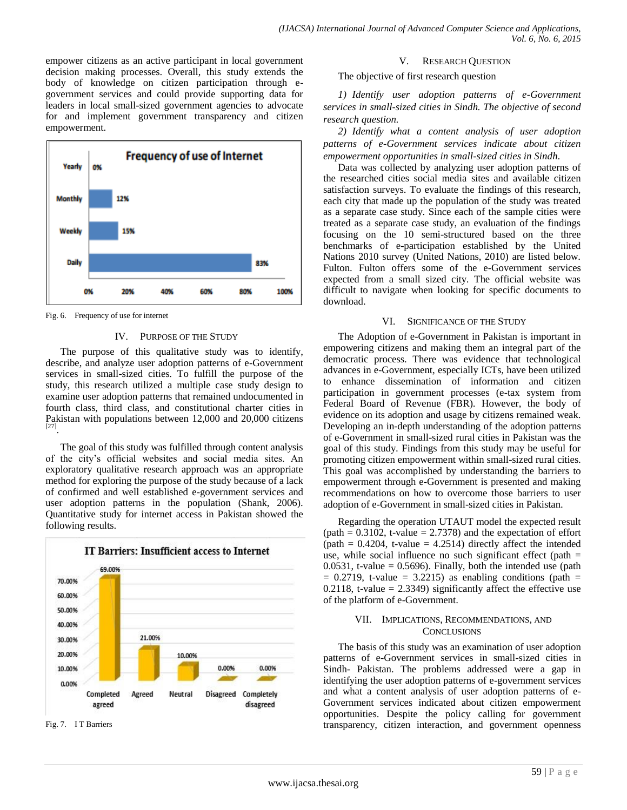empower citizens as an active participant in local government decision making processes. Overall, this study extends the body of knowledge on citizen participation through egovernment services and could provide supporting data for leaders in local small-sized government agencies to advocate for and implement government transparency and citizen empowerment.



Fig. 6. Frequency of use for internet

#### IV. PURPOSE OF THE STUDY

The purpose of this qualitative study was to identify, describe, and analyze user adoption patterns of e-Government services in small-sized cities. To fulfill the purpose of the study, this research utilized a multiple case study design to examine user adoption patterns that remained undocumented in fourth class, third class, and constitutional charter cities in Pakistan with populations between 12,000 and 20,000 citizens [27] .

The goal of this study was fulfilled through content analysis of the city's official websites and social media sites. An exploratory qualitative research approach was an appropriate method for exploring the purpose of the study because of a lack of confirmed and well established e-government services and user adoption patterns in the population (Shank, 2006). Quantitative study for internet access in Pakistan showed the following results.



Fig. 7. I T Barriers

#### V. RESEARCH QUESTION

The objective of first research question

*1) Identify user adoption patterns of e-Government services in small-sized cities in Sindh. The objective of second research question.*

*2) Identify what a content analysis of user adoption patterns of e-Government services indicate about citizen empowerment opportunities in small-sized cities in Sindh.*

Data was collected by analyzing user adoption patterns of the researched cities social media sites and available citizen satisfaction surveys. To evaluate the findings of this research, each city that made up the population of the study was treated as a separate case study. Since each of the sample cities were treated as a separate case study, an evaluation of the findings focusing on the 10 semi-structured based on the three benchmarks of e-participation established by the United Nations 2010 survey (United Nations, 2010) are listed below. Fulton. Fulton offers some of the e-Government services expected from a small sized city. The official website was difficult to navigate when looking for specific documents to download.

#### VI. SIGNIFICANCE OF THE STUDY

The Adoption of e-Government in Pakistan is important in empowering citizens and making them an integral part of the democratic process. There was evidence that technological advances in e-Government, especially ICTs, have been utilized to enhance dissemination of information and citizen participation in government processes (e-tax system from Federal Board of Revenue (FBR). However, the body of evidence on its adoption and usage by citizens remained weak. Developing an in-depth understanding of the adoption patterns of e-Government in small-sized rural cities in Pakistan was the goal of this study. Findings from this study may be useful for promoting citizen empowerment within small-sized rural cities. This goal was accomplished by understanding the barriers to empowerment through e-Government is presented and making recommendations on how to overcome those barriers to user adoption of e-Government in small-sized cities in Pakistan.

Regarding the operation UTAUT model the expected result (path  $= 0.3102$ , t-value  $= 2.7378$ ) and the expectation of effort  $(path = 0.4204, t-value = 4.2514)$  directly affect the intended use, while social influence no such significant effect (path  $=$ 0.0531, t-value =  $0.5696$ ). Finally, both the intended use (path  $= 0.2719$ , t-value  $= 3.2215$ ) as enabling conditions (path  $=$ 0.2118, t-value =  $2.3349$ ) significantly affect the effective use of the platform of e-Government.

#### VII. IMPLICATIONS, RECOMMENDATIONS, AND **CONCLUSIONS**

The basis of this study was an examination of user adoption patterns of e-Government services in small-sized cities in Sindh- Pakistan. The problems addressed were a gap in identifying the user adoption patterns of e-government services and what a content analysis of user adoption patterns of e-Government services indicated about citizen empowerment opportunities. Despite the policy calling for government transparency, citizen interaction, and government openness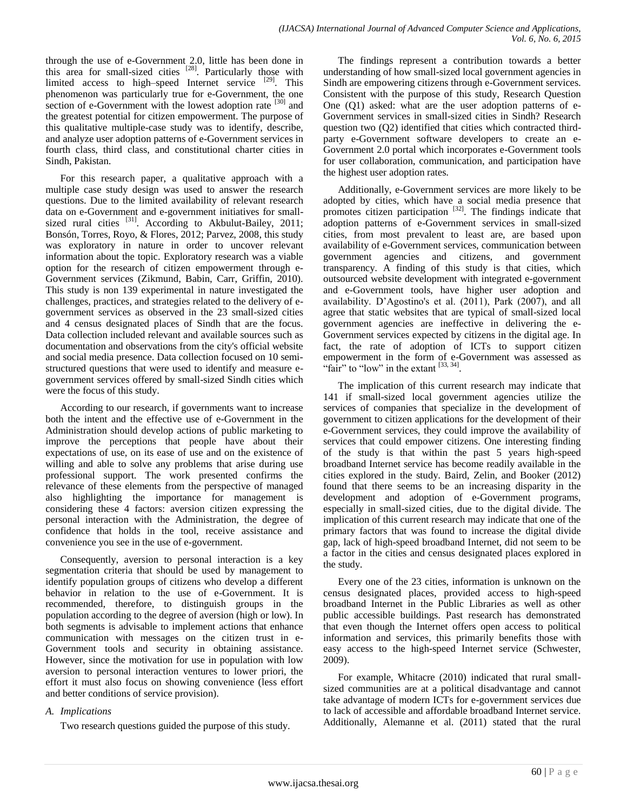through the use of e-Government 2.0, little has been done in this area for small-sized cities  $[28]$ . Particularly those with limited access to high–speed Internet service [29]. This phenomenon was particularly true for e-Government, the one section of e-Government with the lowest adoption rate <sup>[30]</sup> and the greatest potential for citizen empowerment. The purpose of this qualitative multiple-case study was to identify, describe, and analyze user adoption patterns of e-Government services in fourth class, third class, and constitutional charter cities in Sindh, Pakistan.

For this research paper, a qualitative approach with a multiple case study design was used to answer the research questions. Due to the limited availability of relevant research data on e-Government and e-government initiatives for smallsized rural cities  $^{[31]}$ . According to Akbulut-Bailey, 2011; Bonsón, Torres, Royo, & Flores, 2012; Parvez, 2008, this study was exploratory in nature in order to uncover relevant information about the topic. Exploratory research was a viable option for the research of citizen empowerment through e-Government services (Zikmund, Babin, Carr, Griffin, 2010). This study is non 139 experimental in nature investigated the challenges, practices, and strategies related to the delivery of egovernment services as observed in the 23 small-sized cities and 4 census designated places of Sindh that are the focus. Data collection included relevant and available sources such as documentation and observations from the city's official website and social media presence. Data collection focused on 10 semistructured questions that were used to identify and measure egovernment services offered by small-sized Sindh cities which were the focus of this study.

According to our research, if governments want to increase both the intent and the effective use of e-Government in the Administration should develop actions of public marketing to improve the perceptions that people have about their expectations of use, on its ease of use and on the existence of willing and able to solve any problems that arise during use professional support. The work presented confirms the relevance of these elements from the perspective of managed also highlighting the importance for management is considering these 4 factors: aversion citizen expressing the personal interaction with the Administration, the degree of confidence that holds in the tool, receive assistance and convenience you see in the use of e-government.

Consequently, aversion to personal interaction is a key segmentation criteria that should be used by management to identify population groups of citizens who develop a different behavior in relation to the use of e-Government. It is recommended, therefore, to distinguish groups in the population according to the degree of aversion (high or low). In both segments is advisable to implement actions that enhance communication with messages on the citizen trust in e-Government tools and security in obtaining assistance. However, since the motivation for use in population with low aversion to personal interaction ventures to lower priori, the effort it must also focus on showing convenience (less effort and better conditions of service provision).

# *A. Implications*

Two research questions guided the purpose of this study.

The findings represent a contribution towards a better understanding of how small-sized local government agencies in Sindh are empowering citizens through e-Government services. Consistent with the purpose of this study, Research Question One (Q1) asked: what are the user adoption patterns of e-Government services in small-sized cities in Sindh? Research question two (Q2) identified that cities which contracted thirdparty e-Government software developers to create an e-Government 2.0 portal which incorporates e-Government tools for user collaboration, communication, and participation have the highest user adoption rates.

Additionally, e-Government services are more likely to be adopted by cities, which have a social media presence that promotes citizen participation <sup>[32]</sup>. The findings indicate that adoption patterns of e-Government services in small-sized cities, from most prevalent to least are, are based upon availability of e-Government services, communication between government agencies and citizens, and government transparency. A finding of this study is that cities, which outsourced website development with integrated e-government and e-Government tools, have higher user adoption and availability. D'Agostino's et al. (2011), Park (2007), and all agree that static websites that are typical of small-sized local government agencies are ineffective in delivering the e-Government services expected by citizens in the digital age. In fact, the rate of adoption of ICTs to support citizen empowerment in the form of e-Government was assessed as "fair" to "low" in the extant  $^{[33, 34]}$ .

The implication of this current research may indicate that 141 if small-sized local government agencies utilize the services of companies that specialize in the development of government to citizen applications for the development of their e-Government services, they could improve the availability of services that could empower citizens. One interesting finding of the study is that within the past 5 years high-speed broadband Internet service has become readily available in the cities explored in the study. Baird, Zelin, and Booker (2012) found that there seems to be an increasing disparity in the development and adoption of e-Government programs, especially in small-sized cities, due to the digital divide. The implication of this current research may indicate that one of the primary factors that was found to increase the digital divide gap, lack of high-speed broadband Internet, did not seem to be a factor in the cities and census designated places explored in the study.

Every one of the 23 cities, information is unknown on the census designated places, provided access to high-speed broadband Internet in the Public Libraries as well as other public accessible buildings. Past research has demonstrated that even though the Internet offers open access to political information and services, this primarily benefits those with easy access to the high-speed Internet service (Schwester, 2009).

For example, Whitacre (2010) indicated that rural smallsized communities are at a political disadvantage and cannot take advantage of modern ICTs for e-government services due to lack of accessible and affordable broadband Internet service. Additionally, Alemanne et al. (2011) stated that the rural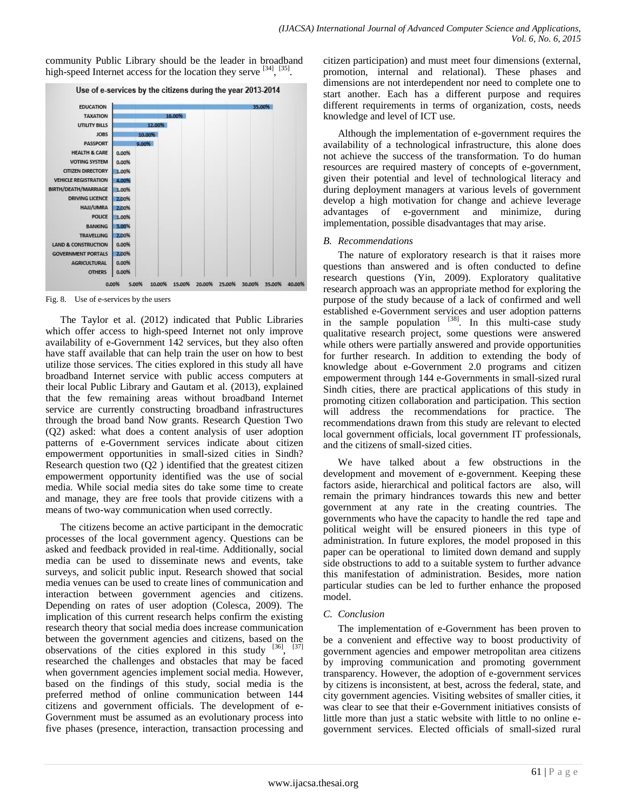community Public Library should be the leader in broadband high-speed Internet access for the location they serve [34], [35].



Fig. 8. Use of e-services by the users

The Taylor et al. (2012) indicated that Public Libraries which offer access to high-speed Internet not only improve availability of e-Government 142 services, but they also often have staff available that can help train the user on how to best utilize those services. The cities explored in this study all have broadband Internet service with public access computers at their local Public Library and Gautam et al. (2013), explained that the few remaining areas without broadband Internet service are currently constructing broadband infrastructures through the broad band Now grants. Research Question Two (Q2) asked: what does a content analysis of user adoption patterns of e-Government services indicate about citizen empowerment opportunities in small-sized cities in Sindh? Research question two (Q2 ) identified that the greatest citizen empowerment opportunity identified was the use of social media. While social media sites do take some time to create and manage, they are free tools that provide citizens with a means of two-way communication when used correctly.

The citizens become an active participant in the democratic processes of the local government agency. Questions can be asked and feedback provided in real-time. Additionally, social media can be used to disseminate news and events, take surveys, and solicit public input. Research showed that social media venues can be used to create lines of communication and interaction between government agencies and citizens. Depending on rates of user adoption (Colesca, 2009). The implication of this current research helps confirm the existing research theory that social media does increase communication between the government agencies and citizens, based on the observations of the cities explored in this study  $[36]$ ,  $[37]$ researched the challenges and obstacles that may be faced when government agencies implement social media. However, based on the findings of this study, social media is the preferred method of online communication between 144 citizens and government officials. The development of e-Government must be assumed as an evolutionary process into five phases (presence, interaction, transaction processing and citizen participation) and must meet four dimensions (external, promotion, internal and relational). These phases and dimensions are not interdependent nor need to complete one to start another. Each has a different purpose and requires different requirements in terms of organization, costs, needs knowledge and level of ICT use.

Although the implementation of e-government requires the availability of a technological infrastructure, this alone does not achieve the success of the transformation. To do human resources are required mastery of concepts of e-government, given their potential and level of technological literacy and during deployment managers at various levels of government develop a high motivation for change and achieve leverage advantages of e-government and minimize, during implementation, possible disadvantages that may arise.

## *B. Recommendations*

The nature of exploratory research is that it raises more questions than answered and is often conducted to define research questions (Yin, 2009). Exploratory qualitative research approach was an appropriate method for exploring the purpose of the study because of a lack of confirmed and well established e-Government services and user adoption patterns in the sample population  $[38]$ . In this multi-case study qualitative research project, some questions were answered while others were partially answered and provide opportunities for further research. In addition to extending the body of knowledge about e-Government 2.0 programs and citizen empowerment through 144 e-Governments in small-sized rural Sindh cities, there are practical applications of this study in promoting citizen collaboration and participation. This section will address the recommendations for practice. The recommendations drawn from this study are relevant to elected local government officials, local government IT professionals, and the citizens of small-sized cities.

We have talked about a few obstructions in the development and movement of e-government. Keeping these factors aside, hierarchical and political factors are also, will remain the primary hindrances towards this new and better government at any rate in the creating countries. The governments who have the capacity to handle the red tape and political weight will be ensured pioneers in this type of administration. In future explores, the model proposed in this paper can be operational to limited down demand and supply side obstructions to add to a suitable system to further advance this manifestation of administration. Besides, more nation particular studies can be led to further enhance the proposed model.

## *C. Conclusion*

The implementation of e-Government has been proven to be a convenient and effective way to boost productivity of government agencies and empower metropolitan area citizens by improving communication and promoting government transparency. However, the adoption of e-government services by citizens is inconsistent, at best, across the federal, state, and city government agencies. Visiting websites of smaller cities, it was clear to see that their e-Government initiatives consists of little more than just a static website with little to no online egovernment services. Elected officials of small-sized rural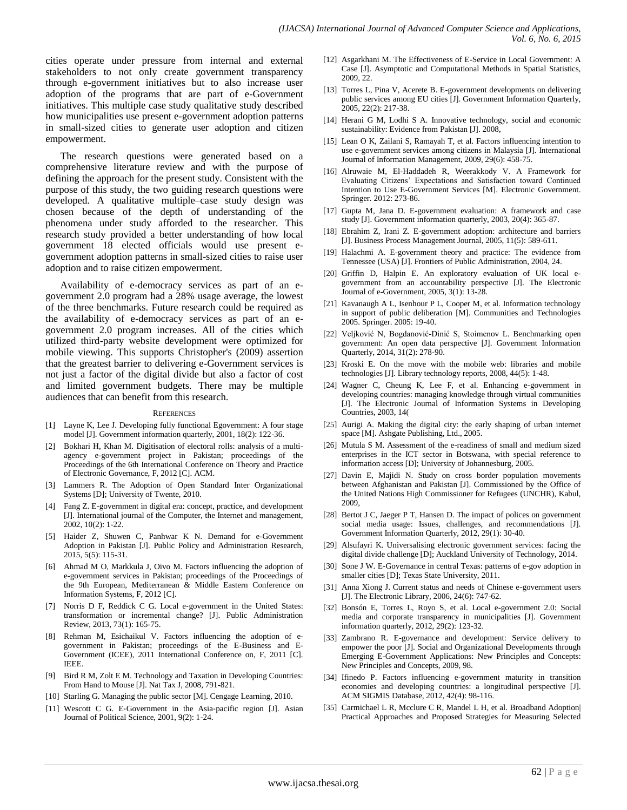cities operate under pressure from internal and external stakeholders to not only create government transparency through e-government initiatives but to also increase user adoption of the programs that are part of e-Government initiatives. This multiple case study qualitative study described how municipalities use present e-government adoption patterns in small-sized cities to generate user adoption and citizen empowerment.

The research questions were generated based on a comprehensive literature review and with the purpose of defining the approach for the present study. Consistent with the purpose of this study, the two guiding research questions were developed. A qualitative multiple–case study design was chosen because of the depth of understanding of the phenomena under study afforded to the researcher. This research study provided a better understanding of how local government 18 elected officials would use present egovernment adoption patterns in small-sized cities to raise user adoption and to raise citizen empowerment.

Availability of e-democracy services as part of an egovernment 2.0 program had a 28% usage average, the lowest of the three benchmarks. Future research could be required as the availability of e-democracy services as part of an egovernment 2.0 program increases. All of the cities which utilized third-party website development were optimized for mobile viewing. This supports Christopher's (2009) assertion that the greatest barrier to delivering e-Government services is not just a factor of the digital divide but also a factor of cost and limited government budgets. There may be multiple audiences that can benefit from this research.

#### **REFERENCES**

- [1] Layne K, Lee J. Developing fully functional Egovernment: A four stage model [J]. Government information quarterly, 2001, 18(2): 122-36.
- [2] Bokhari H, Khan M. Digitisation of electoral rolls: analysis of a multiagency e-government project in Pakistan; proceedings of the Proceedings of the 6th International Conference on Theory and Practice of Electronic Governance, F, 2012 [C]. ACM.
- [3] Lammers R. The Adoption of Open Standard Inter Organizational Systems [D]; University of Twente, 2010.
- [4] Fang Z. E-government in digital era: concept, practice, and development [J]. International journal of the Computer, the Internet and management, 2002, 10(2): 1-22.
- Haider Z, Shuwen C, Panhwar K N. Demand for e-Government Adoption in Pakistan [J]. Public Policy and Administration Research, 2015, 5(5): 115-31.
- [6] Ahmad M O, Markkula J, Oivo M. Factors influencing the adoption of e-government services in Pakistan; proceedings of the Proceedings of the 9th European, Mediterranean & Middle Eastern Conference on Information Systems, F, 2012 [C].
- [7] Norris D F, Reddick C G. Local e-government in the United States: transformation or incremental change? [J]. Public Administration Review, 2013, 73(1): 165-75.
- [8] Rehman M, Esichaikul V. Factors influencing the adoption of egovernment in Pakistan; proceedings of the E-Business and E-Government (ICEE), 2011 International Conference on, F, 2011 [C]. IEEE.
- [9] Bird R M, Zolt E M. Technology and Taxation in Developing Countries: From Hand to Mouse [J]. Nat Tax J, 2008, 791-821.
- [10] Starling G. Managing the public sector [M]. Cengage Learning, 2010.
- [11] Wescott C G. E-Government in the Asia-pacific region [J]. Asian Journal of Political Science, 2001, 9(2): 1-24.
- [12] Asgarkhani M. The Effectiveness of E-Service in Local Government: A Case [J]. Asymptotic and Computational Methods in Spatial Statistics, 2009, 22.
- [13] Torres L, Pina V, Acerete B. E-government developments on delivering public services among EU cities [J]. Government Information Quarterly, 2005, 22(2): 217-38.
- [14] Herani G M, Lodhi S A. Innovative technology, social and economic sustainability: Evidence from Pakistan [J]. 2008,
- [15] Lean O K, Zailani S, Ramayah T, et al. Factors influencing intention to use e-government services among citizens in Malaysia [J]. International Journal of Information Management, 2009, 29(6): 458-75.
- [16] Alruwaie M, El-Haddadeh R, Weerakkody V. A Framework for Evaluating Citizens' Expectations and Satisfaction toward Continued Intention to Use E-Government Services [M]. Electronic Government. Springer. 2012: 273-86.
- [17] Gupta M, Jana D. E-government evaluation: A framework and case study [J]. Government information quarterly, 2003, 20(4): 365-87.
- [18] Ebrahim Z, Irani Z. E-government adoption: architecture and barriers [J]. Business Process Management Journal, 2005, 11(5): 589-611.
- [19] Halachmi A. E-government theory and practice: The evidence from Tennessee (USA) [J]. Frontiers of Public Administration, 2004, 24.
- [20] Griffin D, Halpin E. An exploratory evaluation of UK local egovernment from an accountability perspective [J]. The Electronic Journal of e-Government, 2005, 3(1): 13-28.
- [21] Kavanaugh A L, Isenhour P L, Cooper M, et al. Information technology in support of public deliberation [M]. Communities and Technologies 2005. Springer. 2005: 19-40.
- [22] Veljković N, Bogdanović-Dinić S, Stoimenov L. Benchmarking open government: An open data perspective [J]. Government Information Quarterly, 2014, 31(2): 278-90.
- [23] Kroski E. On the move with the mobile web: libraries and mobile technologies [J]. Library technology reports, 2008, 44(5): 1-48.
- [24] Wagner C, Cheung K, Lee F, et al. Enhancing e-government in developing countries: managing knowledge through virtual communities [J]. The Electronic Journal of Information Systems in Developing Countries, 2003, 14(
- [25] Aurigi A. Making the digital city: the early shaping of urban internet space [M]. Ashgate Publishing, Ltd., 2005.
- [26] Mutula S M. Assessment of the e-readiness of small and medium sized enterprises in the ICT sector in Botswana, with special reference to information access [D]; University of Johannesburg, 2005.
- [27] Davin E, Majidi N. Study on cross border population movements between Afghanistan and Pakistan [J]. Commissioned by the Office of the United Nations High Commissioner for Refugees (UNCHR), Kabul, 2009,
- [28] Bertot J C, Jaeger P T, Hansen D. The impact of polices on government social media usage: Issues, challenges, and recommendations [J]. Government Information Quarterly, 2012, 29(1): 30-40.
- [29] Alsufayri K. Universalising electronic government services: facing the digital divide challenge [D]; Auckland University of Technology, 2014.
- [30] Sone J W. E-Governance in central Texas: patterns of e-gov adoption in smaller cities [D]; Texas State University, 2011.
- [31] Anna Xiong J. Current status and needs of Chinese e-government users [J]. The Electronic Library, 2006, 24(6): 747-62.
- [32] Bonsón E, Torres L, Royo S, et al. Local e-government 2.0: Social media and corporate transparency in municipalities [J]. Government information quarterly, 2012, 29(2): 123-32.
- [33] Zambrano R. E-governance and development: Service delivery to empower the poor [J]. Social and Organizational Developments through Emerging E-Government Applications: New Principles and Concepts: New Principles and Concepts, 2009, 98.
- [34] Ifinedo P. Factors influencing e-government maturity in transition economies and developing countries: a longitudinal perspective [J]. ACM SIGMIS Database, 2012, 42(4): 98-116.
- [35] Carmichael L R, Mcclure C R, Mandel L H, et al. Broadband Adoption Practical Approaches and Proposed Strategies for Measuring Selected